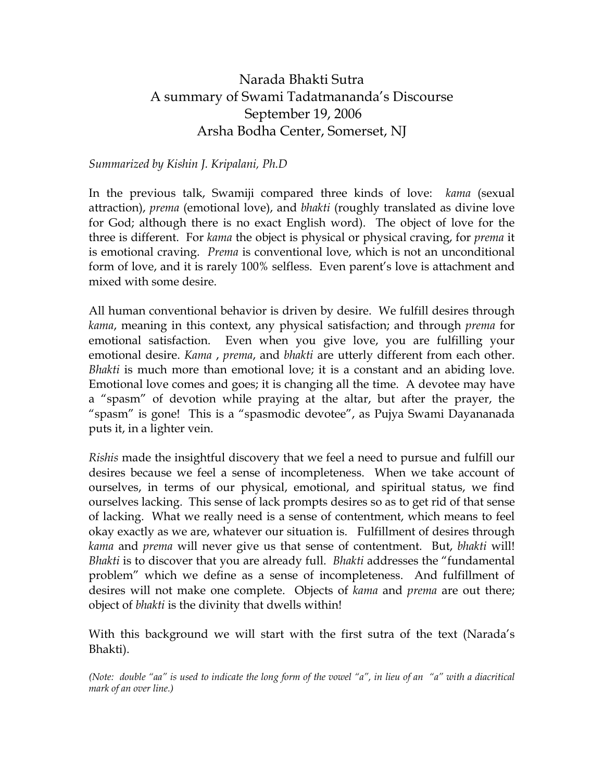## Narada Bhakti Sutra A summary of Swami Tadatmananda's Discourse September 19, 2006 Arsha Bodha Center, Somerset, NJ

## *Summarized by Kishin J. Kripalani, Ph.D*

In the previous talk, Swamiji compared three kinds of love: *kama* (sexual attraction), *prema* (emotional love), and *bhakti* (roughly translated as divine love for God; although there is no exact English word). The object of love for the three is different. For *kama* the object is physical or physical craving, for *prema* it is emotional craving. *Prema* is conventional love, which is not an unconditional form of love, and it is rarely 100% selfless. Even parent's love is attachment and mixed with some desire.

All human conventional behavior is driven by desire. We fulfill desires through *kama*, meaning in this context, any physical satisfaction; and through *prema* for emotional satisfaction. Even when you give love, you are fulfilling your emotional desire. *Kama* , *prema*, and *bhakti* are utterly different from each other. *Bhakti* is much more than emotional love; it is a constant and an abiding love. Emotional love comes and goes; it is changing all the time. A devotee may have a "spasm" of devotion while praying at the altar, but after the prayer, the "spasm" is gone! This is a "spasmodic devotee", as Pujya Swami Dayananada puts it, in a lighter vein.

*Rishis* made the insightful discovery that we feel a need to pursue and fulfill our desires because we feel a sense of incompleteness. When we take account of ourselves, in terms of our physical, emotional, and spiritual status, we find ourselves lacking. This sense of lack prompts desires so as to get rid of that sense of lacking. What we really need is a sense of contentment, which means to feel okay exactly as we are, whatever our situation is. Fulfillment of desires through *kama* and *prema* will never give us that sense of contentment. But, *bhakti* will! *Bhakti* is to discover that you are already full. *Bhakti* addresses the "fundamental problem" which we define as a sense of incompleteness. And fulfillment of desires will not make one complete. Objects of *kama* and *prema* are out there; object of *bhakti* is the divinity that dwells within!

With this background we will start with the first sutra of the text (Narada's Bhakti).

*(Note: double "aa" is used to indicate the long form of the vowel "a", in lieu of an "a" with a diacritical mark of an over line.)*